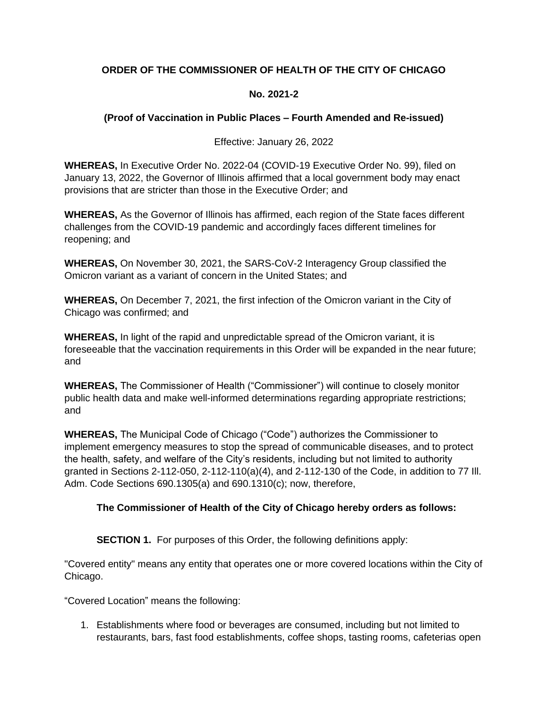# **ORDER OF THE COMMISSIONER OF HEALTH OF THE CITY OF CHICAGO**

## **No. 2021-2**

## **(Proof of Vaccination in Public Places – Fourth Amended and Re-issued)**

Effective: January 26, 2022

**WHEREAS,** In Executive Order No. 2022-04 (COVID-19 Executive Order No. 99), filed on January 13, 2022, the Governor of Illinois affirmed that a local government body may enact provisions that are stricter than those in the Executive Order; and

**WHEREAS,** As the Governor of Illinois has affirmed, each region of the State faces different challenges from the COVID-19 pandemic and accordingly faces different timelines for reopening; and

**WHEREAS,** On November 30, 2021, the SARS-CoV-2 Interagency Group classified the Omicron variant as a variant of concern in the United States; and

**WHEREAS,** On December 7, 2021, the first infection of the Omicron variant in the City of Chicago was confirmed; and

**WHEREAS,** In light of the rapid and unpredictable spread of the Omicron variant, it is foreseeable that the vaccination requirements in this Order will be expanded in the near future; and

**WHEREAS,** The Commissioner of Health ("Commissioner") will continue to closely monitor public health data and make well-informed determinations regarding appropriate restrictions; and

**WHEREAS,** The Municipal Code of Chicago ("Code") authorizes the Commissioner to implement emergency measures to stop the spread of communicable diseases, and to protect the health, safety, and welfare of the City's residents, including but not limited to authority granted in Sections 2-112-050, 2-112-110(a)(4), and 2-112-130 of the Code, in addition to 77 Ill. Adm. Code Sections 690.1305(a) and 690.1310(c); now, therefore,

## **The Commissioner of Health of the City of Chicago hereby orders as follows:**

**SECTION 1.** For purposes of this Order, the following definitions apply:

"Covered entity" means any entity that operates one or more covered locations within the City of Chicago.

"Covered Location" means the following:

1. Establishments where food or beverages are consumed, including but not limited to restaurants, bars, fast food establishments, coffee shops, tasting rooms, cafeterias open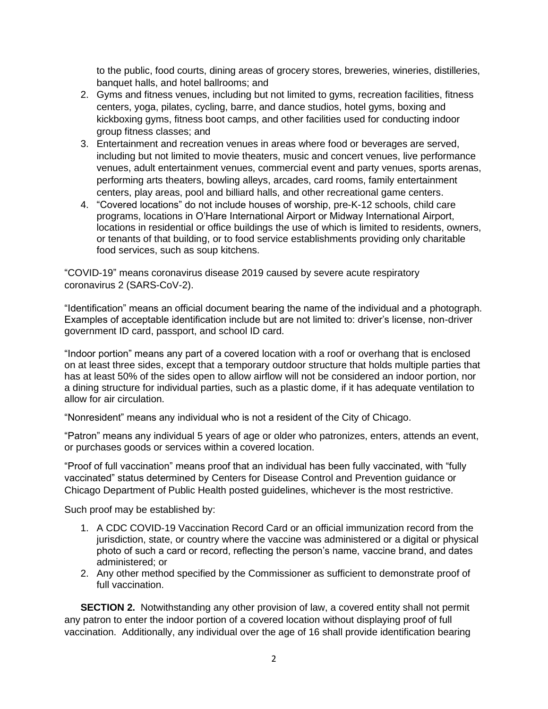to the public, food courts, dining areas of grocery stores, breweries, wineries, distilleries, banquet halls, and hotel ballrooms; and

- 2. Gyms and fitness venues, including but not limited to gyms, recreation facilities, fitness centers, yoga, pilates, cycling, barre, and dance studios, hotel gyms, boxing and kickboxing gyms, fitness boot camps, and other facilities used for conducting indoor group fitness classes; and
- 3. Entertainment and recreation venues in areas where food or beverages are served, including but not limited to movie theaters, music and concert venues, live performance venues, adult entertainment venues, commercial event and party venues, sports arenas, performing arts theaters, bowling alleys, arcades, card rooms, family entertainment centers, play areas, pool and billiard halls, and other recreational game centers.
- 4. "Covered locations" do not include houses of worship, pre-K-12 schools, child care programs, locations in O'Hare International Airport or Midway International Airport, locations in residential or office buildings the use of which is limited to residents, owners, or tenants of that building, or to food service establishments providing only charitable food services, such as soup kitchens.

"COVID-19" means coronavirus disease 2019 caused by severe acute respiratory coronavirus 2 (SARS-CoV-2).

"Identification" means an official document bearing the name of the individual and a photograph. Examples of acceptable identification include but are not limited to: driver's license, non-driver government ID card, passport, and school ID card.

"Indoor portion" means any part of a covered location with a roof or overhang that is enclosed on at least three sides, except that a temporary outdoor structure that holds multiple parties that has at least 50% of the sides open to allow airflow will not be considered an indoor portion, nor a dining structure for individual parties, such as a plastic dome, if it has adequate ventilation to allow for air circulation.

"Nonresident" means any individual who is not a resident of the City of Chicago.

"Patron" means any individual 5 years of age or older who patronizes, enters, attends an event, or purchases goods or services within a covered location.

"Proof of full vaccination" means proof that an individual has been fully vaccinated, with "fully vaccinated" status determined by Centers for Disease Control and Prevention guidance or Chicago Department of Public Health posted guidelines, whichever is the most restrictive.

Such proof may be established by:

- 1. A CDC COVID-19 Vaccination Record Card or an official immunization record from the jurisdiction, state, or country where the vaccine was administered or a digital or physical photo of such a card or record, reflecting the person's name, vaccine brand, and dates administered; or
- 2. Any other method specified by the Commissioner as sufficient to demonstrate proof of full vaccination.

**SECTION 2.** Notwithstanding any other provision of law, a covered entity shall not permit any patron to enter the indoor portion of a covered location without displaying proof of full vaccination. Additionally, any individual over the age of 16 shall provide identification bearing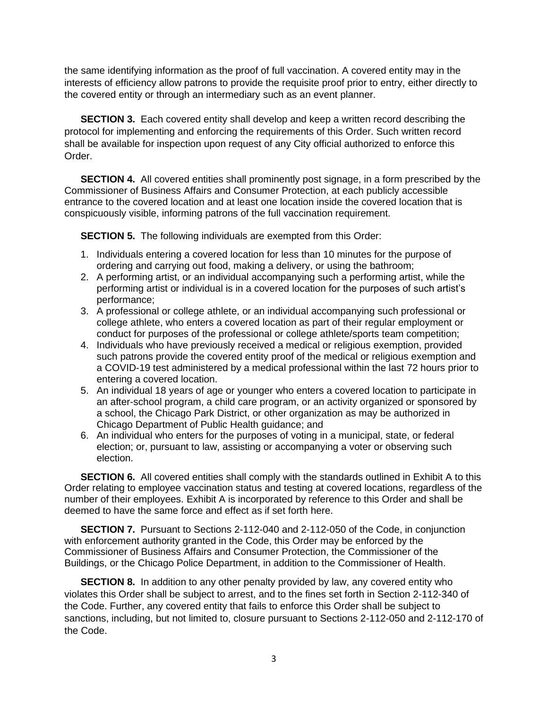the same identifying information as the proof of full vaccination. A covered entity may in the interests of efficiency allow patrons to provide the requisite proof prior to entry, either directly to the covered entity or through an intermediary such as an event planner.

**SECTION 3.** Each covered entity shall develop and keep a written record describing the protocol for implementing and enforcing the requirements of this Order. Such written record shall be available for inspection upon request of any City official authorized to enforce this Order.

**SECTION 4.** All covered entities shall prominently post signage, in a form prescribed by the Commissioner of Business Affairs and Consumer Protection, at each publicly accessible entrance to the covered location and at least one location inside the covered location that is conspicuously visible, informing patrons of the full vaccination requirement.

**SECTION 5.** The following individuals are exempted from this Order:

- 1. Individuals entering a covered location for less than 10 minutes for the purpose of ordering and carrying out food, making a delivery, or using the bathroom;
- 2. A performing artist, or an individual accompanying such a performing artist, while the performing artist or individual is in a covered location for the purposes of such artist's performance;
- 3. A professional or college athlete, or an individual accompanying such professional or college athlete, who enters a covered location as part of their regular employment or conduct for purposes of the professional or college athlete/sports team competition;
- 4. Individuals who have previously received a medical or religious exemption, provided such patrons provide the covered entity proof of the medical or religious exemption and a COVID-19 test administered by a medical professional within the last 72 hours prior to entering a covered location.
- 5. An individual 18 years of age or younger who enters a covered location to participate in an after-school program, a child care program, or an activity organized or sponsored by a school, the Chicago Park District, or other organization as may be authorized in Chicago Department of Public Health guidance; and
- 6. An individual who enters for the purposes of voting in a municipal, state, or federal election; or, pursuant to law, assisting or accompanying a voter or observing such election.

**SECTION 6.** All covered entities shall comply with the standards outlined in Exhibit A to this Order relating to employee vaccination status and testing at covered locations, regardless of the number of their employees. Exhibit A is incorporated by reference to this Order and shall be deemed to have the same force and effect as if set forth here.

**SECTION 7.** Pursuant to Sections 2-112-040 and 2-112-050 of the Code, in conjunction with enforcement authority granted in the Code, this Order may be enforced by the Commissioner of Business Affairs and Consumer Protection, the Commissioner of the Buildings, or the Chicago Police Department, in addition to the Commissioner of Health.

**SECTION 8.** In addition to any other penalty provided by law, any covered entity who violates this Order shall be subject to arrest, and to the fines set forth in Section 2-112-340 of the Code. Further, any covered entity that fails to enforce this Order shall be subject to sanctions, including, but not limited to, closure pursuant to Sections 2-112-050 and 2-112-170 of the Code.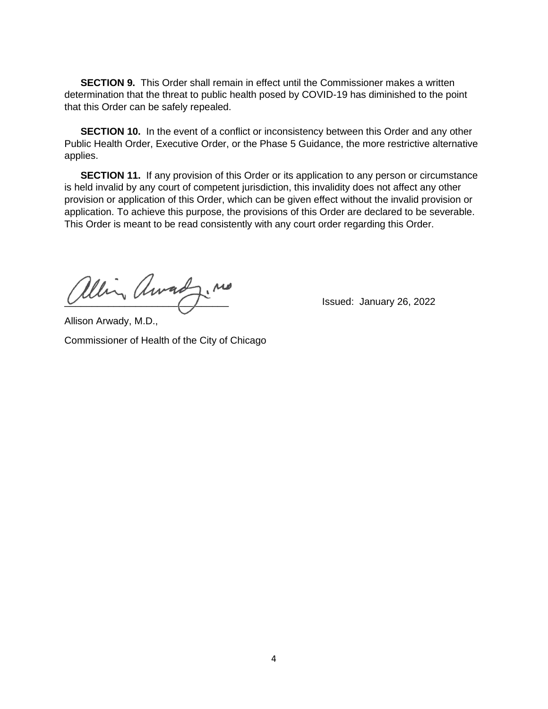**SECTION 9.** This Order shall remain in effect until the Commissioner makes a written determination that the threat to public health posed by COVID-19 has diminished to the point that this Order can be safely repealed.

**SECTION 10.** In the event of a conflict or inconsistency between this Order and any other Public Health Order, Executive Order, or the Phase 5 Guidance, the more restrictive alternative applies.

**SECTION 11.** If any provision of this Order or its application to any person or circumstance is held invalid by any court of competent jurisdiction, this invalidity does not affect any other provision or application of this Order, which can be given effect without the invalid provision or application. To achieve this purpose, the provisions of this Order are declared to be severable. This Order is meant to be read consistently with any court order regarding this Order.

alling Arracly. Me

Allison Arwady, M.D.,

Commissioner of Health of the City of Chicago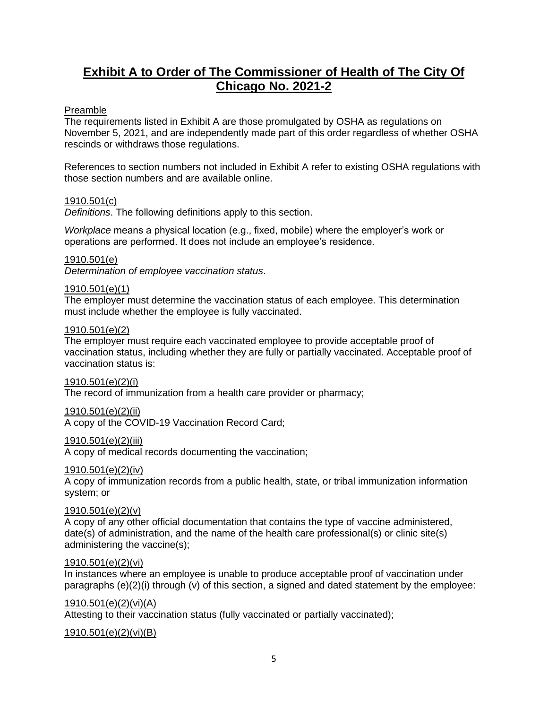# **Exhibit A to Order of The Commissioner of Health of The City Of Chicago No. 2021-2**

### Preamble

The requirements listed in Exhibit A are those promulgated by OSHA as regulations on November 5, 2021, and are independently made part of this order regardless of whether OSHA rescinds or withdraws those regulations.

References to section numbers not included in Exhibit A refer to existing OSHA regulations with those section numbers and are available online.

#### 1910.501(c)

*Definitions*. The following definitions apply to this section.

*Workplace* means a physical location (e.g., fixed, mobile) where the employer's work or operations are performed. It does not include an employee's residence.

#### 1910.501(e)

*Determination of employee vaccination status*.

#### 1910.501(e)(1)

The employer must determine the vaccination status of each employee. This determination must include whether the employee is fully vaccinated.

#### 1910.501(e)(2)

The employer must require each vaccinated employee to provide acceptable proof of vaccination status, including whether they are fully or partially vaccinated. Acceptable proof of vaccination status is:

#### 1910.501(e)(2)(i)

The record of immunization from a health care provider or pharmacy;

#### 1910.501(e)(2)(ii)

A copy of the COVID-19 Vaccination Record Card;

#### 1910.501(e)(2)(iii)

A copy of medical records documenting the vaccination;

#### 1910.501(e)(2)(iv)

A copy of immunization records from a public health, state, or tribal immunization information system; or

#### 1910.501(e)(2)(v)

A copy of any other official documentation that contains the type of vaccine administered, date(s) of administration, and the name of the health care professional(s) or clinic site(s) administering the vaccine(s);

#### 1910.501(e)(2)(vi)

In instances where an employee is unable to produce acceptable proof of vaccination under paragraphs  $(e)(2)(i)$  through  $(v)$  of this section, a signed and dated statement by the employee:

#### 1910.501(e)(2)(vi)(A)

Attesting to their vaccination status (fully vaccinated or partially vaccinated);

#### 1910.501(e)(2)(vi)(B)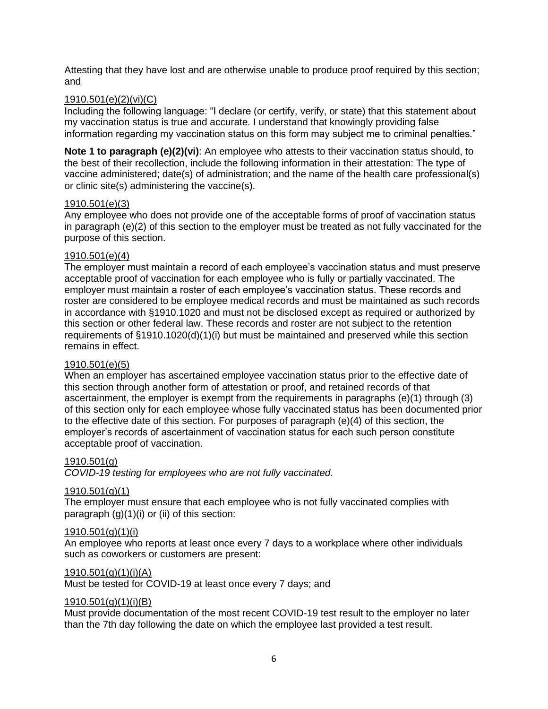Attesting that they have lost and are otherwise unable to produce proof required by this section; and

#### 1910.501(e)(2)(vi)(C)

Including the following language: "I declare (or certify, verify, or state) that this statement about my vaccination status is true and accurate. I understand that knowingly providing false information regarding my vaccination status on this form may subject me to criminal penalties."

**Note 1 to paragraph (e)(2)(vi)**: An employee who attests to their vaccination status should, to the best of their recollection, include the following information in their attestation: The type of vaccine administered; date(s) of administration; and the name of the health care professional(s) or clinic site(s) administering the vaccine(s).

#### 1910.501(e)(3)

Any employee who does not provide one of the acceptable forms of proof of vaccination status in paragraph (e)(2) of this section to the employer must be treated as not fully vaccinated for the purpose of this section.

#### 1910.501(e)(4)

The employer must maintain a record of each employee's vaccination status and must preserve acceptable proof of vaccination for each employee who is fully or partially vaccinated. The employer must maintain a roster of each employee's vaccination status. These records and roster are considered to be employee medical records and must be maintained as such records in accordance with §1910.1020 and must not be disclosed except as required or authorized by this section or other federal law. These records and roster are not subject to the retention requirements of §1910.1020(d)(1)(i) but must be maintained and preserved while this section remains in effect.

### 1910.501(e)(5)

When an employer has ascertained employee vaccination status prior to the effective date of this section through another form of attestation or proof, and retained records of that ascertainment, the employer is exempt from the requirements in paragraphs (e)(1) through (3) of this section only for each employee whose fully vaccinated status has been documented prior to the effective date of this section. For purposes of paragraph (e)(4) of this section, the employer's records of ascertainment of vaccination status for each such person constitute acceptable proof of vaccination.

#### 1910.501(g)

*COVID-19 testing for employees who are not fully vaccinated*.

#### 1910.501(g)(1)

The employer must ensure that each employee who is not fully vaccinated complies with paragraph  $(g)(1)(i)$  or  $(ii)$  of this section:

#### 1910.501(g)(1)(i)

An employee who reports at least once every 7 days to a workplace where other individuals such as coworkers or customers are present:

#### 1910.501(g)(1)(i)(A)

Must be tested for COVID-19 at least once every 7 days; and

#### 1910.501(g)(1)(i)(B)

Must provide documentation of the most recent COVID-19 test result to the employer no later than the 7th day following the date on which the employee last provided a test result.